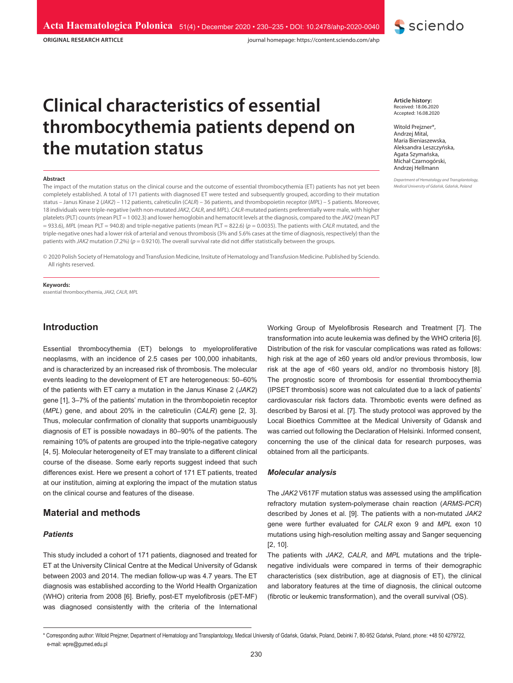**ORIGINAL RESEARCH ARTICLE**

journal homepage: https://content.sciendo.com/ahp

# **Clinical characteristics of essential thrombocythemia patients depend on the mutation status**

#### **Abstract**

The impact of the mutation status on the clinical course and the outcome of essential thrombocythemia (ET) patients has not yet been completely established. A total of 171 patients with diagnosed ET were tested and subsequently grouped, according to their mutation status – Janus Kinase 2 (*JAK2*) – 112 patients, calreticulin (*CALR*) – 36 patients, and thrombopoietin receptor (*MPL*) – 5 patients. Moreover, 18 individuals were triple-negative (with non-mutated *JAK2*, *CALR*, and *MPL*). *CALR*-mutated patients preferentially were male, with higher platelets (PLT) counts (mean PLT = 1 002.3) and lower hemoglobin and hematocrit levels at the diagnosis, compared to the *JAK2* (mean PLT = 933.6), *MPL* (mean PLT = 940.8) and triple-negative patients (mean PLT = 822.6) (*p* = 0.0035). The patients with *CALR* mutated, and the triple-negative ones had a lower risk of arterial and venous thrombosis (3% and 5.6% cases at the time of diagnosis, respectively) than the patients with *JAK2* mutation (7.2%) (*p* = 0.9210). The overall survival rate did not differ statistically between the groups.

© 2020 Polish Society of Hematology and Transfusion Medicine, Insitute of Hematology and Transfusion Medicine. Published by Sciendo. All rights reserved.

**Keywords:** essential thrombocythemia, *JAK2, CALR, MPL*

# **Introduction**

Essential thrombocythemia (ET) belongs to myeloproliferative neoplasms, with an incidence of 2.5 cases per 100,000 inhabitants, and is characterized by an increased risk of thrombosis. The molecular events leading to the development of ET are heterogeneous: 50–60% of the patients with ET carry a mutation in the Janus Kinase 2 (*JAK2*) gene [1], 3–7% of the patients' mutation in the thrombopoietin receptor (*MPL*) gene, and about 20% in the calreticulin (*CALR*) gene [2, 3]. Thus, molecular confirmation of clonality that supports unambiguously diagnosis of ET is possible nowadays in 80–90% of the patients. The remaining 10% of patents are grouped into the triple-negative category [4, 5]. Molecular heterogeneity of ET may translate to a different clinical course of the disease. Some early reports suggest indeed that such differences exist. Here we present a cohort of 171 ET patients, treated at our institution, aiming at exploring the impact of the mutation status on the clinical course and features of the disease.

# **Material and methods**

#### *Patients*

This study included a cohort of 171 patients, diagnosed and treated for ET at the University Clinical Centre at the Medical University of Gdansk between 2003 and 2014. The median follow-up was 4.7 years. The ET diagnosis was established according to the World Health Organization (WHO) criteria from 2008 [6]. Briefly, post-ET myelofibrosis (pET-MF) was diagnosed consistently with the criteria of the International

**Article history:** Received: 18.06.2020 Accepted: 16.08.2020

Witold Prejzner\*, Andrzej Mital, Maria Bieniaszewska, Aleksandra Leszczyńska, Agata Szymańska, Michał Czarnogórski, Andrzej Hellmann

**S** sciendo

*Department of Hematology and Transplantology, Medical University of Gdańsk, Gdańsk, Poland*

Working Group of Myelofibrosis Research and Treatment [7]. The transformation into acute leukemia was defined by the WHO criteria [6]. Distribution of the risk for vascular complications was rated as follows: high risk at the age of ≥60 years old and/or previous thrombosis, low risk at the age of <60 years old, and/or no thrombosis history [8]. The prognostic score of thrombosis for essential thrombocythemia (IPSET thrombosis) score was not calculated due to a lack of patients' cardiovascular risk factors data. Thrombotic events were defined as described by Barosi et al. [7]. The study protocol was approved by the Local Bioethics Committee at the Medical University of Gdansk and was carried out following the Declaration of Helsinki. Informed consent, concerning the use of the clinical data for research purposes, was obtained from all the participants.

#### *Molecular analysis*

The *JAK2* V617F mutation status was assessed using the amplification refractory mutation system-polymerase chain reaction (*ARMS*-*PCR*) described by Jones et al. [9]. The patients with a non-mutated *JAK2* gene were further evaluated for *CALR* exon 9 and *MPL* exon 10 mutations using high-resolution melting assay and Sanger sequencing [2, 10].

The patients with *JAK2*, *CALR*, and *MPL* mutations and the triplenegative individuals were compared in terms of their demographic characteristics (sex distribution, age at diagnosis of ET), the clinical and laboratory features at the time of diagnosis, the clinical outcome (fibrotic or leukemic transformation), and the overall survival (OS).

<sup>\*</sup> Corresponding author: Witold Prejzner, Department of Hematology and Transplantology, Medical University of Gdańsk, Gdańsk, Poland, Debinki 7, 80-952 Gdańsk, Poland, phone: +48 50 4279722, e-mail: wpre@gumed.edu.pl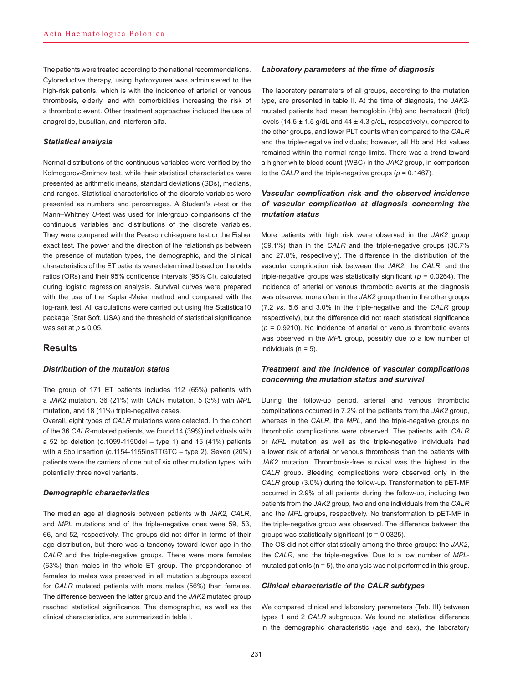The patients were treated according to the national recommendations. Cytoreductive therapy, using hydroxyurea was administered to the high-risk patients, which is with the incidence of arterial or venous thrombosis, elderly, and with comorbidities increasing the risk of a thrombotic event. Other treatment approaches included the use of anagrelide, busulfan, and interferon alfa.

## *Statistical analysis*

Normal distributions of the continuous variables were verified by the Kolmogorov-Smirnov test, while their statistical characteristics were presented as arithmetic means, standard deviations (SDs), medians, and ranges. Statistical characteristics of the discrete variables were presented as numbers and percentages. A Student's *t*-test or the Mann–Whitney *U*-test was used for intergroup comparisons of the continuous variables and distributions of the discrete variables. They were compared with the Pearson chi-square test or the Fisher exact test. The power and the direction of the relationships between the presence of mutation types, the demographic, and the clinical characteristics of the ET patients were determined based on the odds ratios (ORs) and their 95% confidence intervals (95% CI), calculated during logistic regression analysis. Survival curves were prepared with the use of the Kaplan-Meier method and compared with the log-rank test. All calculations were carried out using the Statistica10 package (Stat Soft, USA) and the threshold of statistical significance was set at *p* ≤ 0.05.

# **Results**

## *Distribution of the mutation status*

The group of 171 ET patients includes 112 (65%) patients with a *JAK2* mutation, 36 (21%) with *CALR* mutation, 5 (3%) with *MPL* mutation, and 18 (11%) triple-negative cases.

Overall, eight types of *CALR* mutations were detected. In the cohort of the 36 *CALR*-mutated patients, we found 14 (39%) individuals with a 52 bp deletion (c.1099-1150del – type 1) and 15 (41%) patients with a 5bp insertion (c.1154-1155insTTGTC – type 2). Seven (20%) patients were the carriers of one out of six other mutation types, with potentially three novel variants.

# *Demographic characteristics*

The median age at diagnosis between patients with *JAK2*, *CALR*, and *MPL* mutations and of the triple-negative ones were 59, 53, 66, and 52, respectively. The groups did not differ in terms of their age distribution, but there was a tendency toward lower age in the *CALR* and the triple-negative groups. There were more females (63%) than males in the whole ET group. The preponderance of females to males was preserved in all mutation subgroups except for *CALR* mutated patients with more males (56%) than females. The difference between the latter group and the *JAK2* mutated group reached statistical significance. The demographic, as well as the clinical characteristics, are summarized in table I.

#### *Laboratory parameters at the time of diagnosis*

The laboratory parameters of all groups, according to the mutation type, are presented in table II. At the time of diagnosis, the *JAK2* mutated patients had mean hemoglobin (Hb) and hematocrit (Hct) levels (14.5  $\pm$  1.5 g/dL and 44  $\pm$  4.3 g/dL, respectively), compared to the other groups, and lower PLT counts when compared to the *CALR* and the triple-negative individuals; however, all Hb and Hct values remained within the normal range limits. There was a trend toward a higher white blood count (WBC) in the *JAK2* group, in comparison to the *CALR* and the triple-negative groups (*p* = 0.1467).

# *Vascular complication risk and the observed incidence of vascular complication at diagnosis concerning the mutation status*

More patients with high risk were observed in the *JAK2* group (59.1%) than in the *CALR* and the triple-negative groups (36.7% and 27.8%, respectively). The difference in the distribution of the vascular complication risk between the *JAK2*, the *CALR*, and the triple-negative groups was statistically significant (*p* = 0.0264). The incidence of arterial or venous thrombotic events at the diagnosis was observed more often in the *JAK2* group than in the other groups (7.2 *vs*. 5.6 and 3.0% in the triple-negative and the *CALR* group respectively), but the difference did not reach statistical significance  $(p = 0.9210)$ . No incidence of arterial or venous thrombotic events was observed in the *MPL* group, possibly due to a low number of individuals  $(n = 5)$ .

# *Treatment and the incidence of vascular complications concerning the mutation status and survival*

During the follow-up period, arterial and venous thrombotic complications occurred in 7.2% of the patients from the *JAK2* group, whereas in the *CALR*, the *MPL*, and the triple-negative groups no thrombotic complications were observed. The patients with *CALR* or *MPL* mutation as well as the triple-negative individuals had a lower risk of arterial or venous thrombosis than the patients with *JAK2* mutation. Thrombosis-free survival was the highest in the *CALR* group. Bleeding complications were observed only in the *CALR* group (3.0%) during the follow-up. Transformation to pET-MF occurred in 2.9% of all patients during the follow-up, including two patients from the *JAK2* group, two and one individuals from the *CALR* and the *MPL* groups, respectively. No transformation to pET-MF in the triple-negative group was observed. The difference between the groups was statistically significant (*p* = 0.0325).

The OS did not differ statistically among the three groups: the *JAK2*, the *CALR*, and the triple-negative. Due to a low number of *MPL*mutated patients ( $n = 5$ ), the analysis was not performed in this group.

## *Clinical characteristic of the CALR subtypes*

We compared clinical and laboratory parameters (Tab. III) between types 1 and 2 *CALR* subgroups. We found no statistical difference in the demographic characteristic (age and sex), the laboratory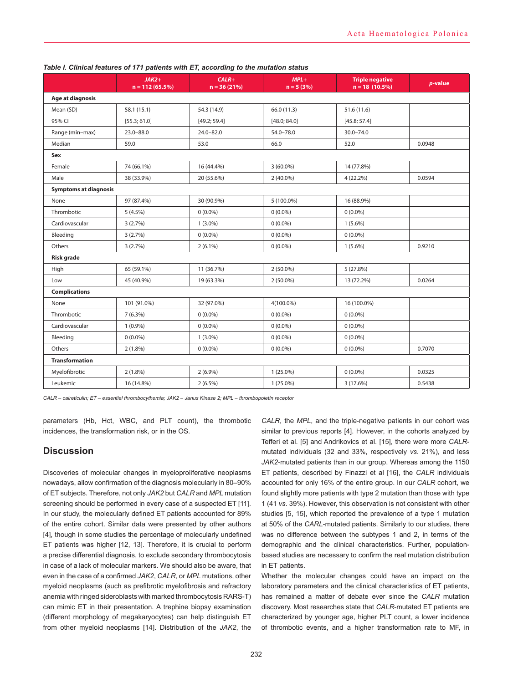|                              | $JAK2+$<br>$n = 112(65.5%)$ | $CALR+$<br>$n = 36(21%)$ | $MPL+$<br>$n = 5(3%)$ | <b>Triple negative</b><br>$n = 18(10.5%)$ | p-value |  |
|------------------------------|-----------------------------|--------------------------|-----------------------|-------------------------------------------|---------|--|
| Age at diagnosis             |                             |                          |                       |                                           |         |  |
| Mean (SD)                    | 58.1 (15.1)                 | 54.3 (14.9)              | 66.0 (11.3)           | 51.6 (11.6)                               |         |  |
| 95% CI                       | [55.3; 61.0]                | [49.2; 59.4]             | [48.0; 84.0]          | [45.8; 57.4]                              |         |  |
| Range (min-max)              | $23.0 - 88.0$               | $24.0 - 82.0$            | 54.0-78.0             | $30.0 - 74.0$                             |         |  |
| Median                       | 59.0                        | 53.0                     | 66.0                  | 52.0                                      | 0.0948  |  |
| Sex                          |                             |                          |                       |                                           |         |  |
| Female                       | 74 (66.1%)                  | 16 (44.4%)               | $3(60.0\%)$           | 14 (77.8%)                                |         |  |
| Male                         | 38 (33.9%)                  | 20 (55.6%)               | $2(40.0\%)$           | $4(22.2\%)$                               | 0.0594  |  |
| <b>Symptoms at diagnosis</b> |                             |                          |                       |                                           |         |  |
| None                         | 97 (87.4%)                  | 30 (90.9%)               | 5 (100.0%)            | 16 (88.9%)                                |         |  |
| Thrombotic                   | $5(4.5\%)$                  | $0(0.0\%)$               | $0(0.0\%)$            | $0(0.0\%)$                                |         |  |
| Cardiovascular               | 3(2.7%)                     | $1(3.0\%)$               | $0(0.0\%)$            | $1(5.6\%)$                                |         |  |
| Bleeding                     | 3(2.7%)                     | $0(0.0\%)$               | $0(0.0\%)$            | $0(0.0\%)$                                |         |  |
| Others                       | 3(2.7%)                     | $2(6.1\%)$               | $0(0.0\%)$            | $1(5.6\%)$                                | 0.9210  |  |
| <b>Risk grade</b>            |                             |                          |                       |                                           |         |  |
| High                         | 65 (59.1%)                  | 11 (36.7%)               | $2(50.0\%)$           | 5(27.8%)                                  |         |  |
| Low                          | 45 (40.9%)                  | 19 (63.3%)               | $2(50.0\%)$           | 13 (72.2%)                                | 0.0264  |  |
| <b>Complications</b>         |                             |                          |                       |                                           |         |  |
| None                         | 101 (91.0%)                 | 32 (97.0%)               | 4(100.0%)             | 16 (100.0%)                               |         |  |
| Thrombotic                   | $7(6.3\%)$                  | $0(0.0\%)$               | $0(0.0\%)$            | $0(0.0\%)$                                |         |  |
| Cardiovascular               | $1(0.9\%)$                  | $0(0.0\%)$               | $0(0.0\%)$            | $0(0.0\%)$                                |         |  |
| Bleeding                     | $0(0.0\%)$                  | $1(3.0\%)$               | $0(0.0\%)$            | $0(0.0\%)$                                |         |  |
| Others                       | $2(1.8\%)$                  | $0(0.0\%)$               | $0(0.0\%)$            | $0(0.0\%)$                                | 0.7070  |  |
| <b>Transformation</b>        |                             |                          |                       |                                           |         |  |
| Myelofibrotic                | $2(1.8\%)$                  | $2(6.9\%)$               | $1(25.0\%)$           | $0(0.0\%)$                                | 0.0325  |  |
| Leukemic                     | 16 (14.8%)                  | $2(6.5\%)$               | $1(25.0\%)$           | 3 (17.6%)                                 | 0.5438  |  |

## *Table I. Clinical features of 171 patients with ET, according to the mutation status*

*CALR – calreticulin; ET – essential thrombocythemia; JAK2 – Janus Kinase 2; MPL – thrombopoietin receptor*

parameters (Hb, Hct, WBC, and PLT count), the thrombotic incidences, the transformation risk, or in the OS.

# **Discussion**

Discoveries of molecular changes in myeloproliferative neoplasms nowadays, allow confirmation of the diagnosis molecularly in 80–90% of ET subjects. Therefore, not only *JAK2* but *CALR* and *MPL* mutation screening should be performed in every case of a suspected ET [11]. In our study, the molecularly defined ET patients accounted for 89% of the entire cohort. Similar data were presented by other authors [4], though in some studies the percentage of molecularly undefined ET patients was higher [12, 13]. Therefore, it is crucial to perform a precise differential diagnosis, to exclude secondary thrombocytosis in case of a lack of molecular markers. We should also be aware, that even in the case of a confirmed *JAK2*, *CALR*, or *MPL* mutations, other myeloid neoplasms (such as prefibrotic myelofibrosis and refractory anemia with ringed sideroblasts with marked thrombocytosis RARS-T) can mimic ET in their presentation. A trephine biopsy examination (different morphology of megakaryocytes) can help distinguish ET from other myeloid neoplasms [14]. Distribution of the *JAK2*, the

*CALR*, the *MPL*, and the triple-negative patients in our cohort was similar to previous reports [4]. However, in the cohorts analyzed by Tefferi et al. [5] and Andrikovics et al. [15], there were more *CALR*mutated individuals (32 and 33%, respectively *vs*. 21%), and less *JAK2*-mutated patients than in our group. Whereas among the 1150 ET patients, described by Finazzi et al [16], the *CALR* individuals accounted for only 16% of the entire group. In our *CALR* cohort, we found slightly more patients with type 2 mutation than those with type 1 (41 *vs*. 39%). However, this observation is not consistent with other studies [5, 15], which reported the prevalence of a type 1 mutation at 50% of the *CARL*-mutated patients. Similarly to our studies, there was no difference between the subtypes 1 and 2, in terms of the demographic and the clinical characteristics. Further, populationbased studies are necessary to confirm the real mutation distribution in ET patients.

Whether the molecular changes could have an impact on the laboratory parameters and the clinical characteristics of ET patients, has remained a matter of debate ever since the *CALR* mutation discovery. Most researches state that *CALR*-mutated ET patients are characterized by younger age, higher PLT count, a lower incidence of thrombotic events, and a higher transformation rate to MF, in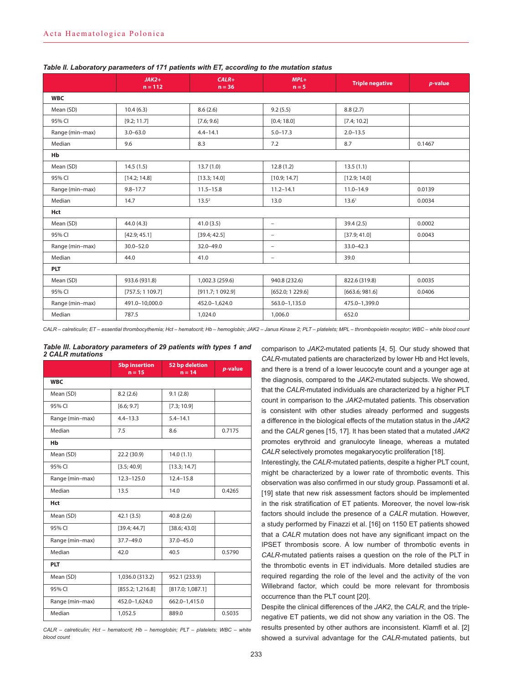|                 | $JAK2+$<br>$n = 112$ | $CALR+$<br>$n = 36$ | $MPL+$<br>$n = 5$        | <b>Triple negative</b> | p-value |  |
|-----------------|----------------------|---------------------|--------------------------|------------------------|---------|--|
| <b>WBC</b>      |                      |                     |                          |                        |         |  |
| Mean (SD)       | 10.4(6.3)            | 8.6(2.6)            | 9.2(5.5)                 | 8.8(2.7)               |         |  |
| 95% CI          | [9.2; 11.7]          | [7.6; 9.6]          | [0.4; 18.0]              | [7.4; 10.2]            |         |  |
| Range (min-max) | $3.0 - 63.0$         | $4.4 - 14.1$        | $5.0 - 17.3$             | $2.0 - 13.5$           |         |  |
| Median          | 9.6                  | 8.3                 | 7.2                      | 8.7                    | 0.1467  |  |
| Hb              |                      |                     |                          |                        |         |  |
| Mean (SD)       | 14.5(1.5)            | 13.7(1.0)           | 12.8(1.2)                | 13.5(1.1)              |         |  |
| 95% CI          | [14.2; 14.8]         | [13.3; 14.0]        | [10.9; 14.7]             | [12.9; 14.0]           |         |  |
| Range (min-max) | $9.8 - 17.7$         | $11.5 - 15.8$       | $11.2 - 14.1$            | $11.0 - 14.9$          | 0.0139  |  |
| Median          | 14.7                 | $13.5^2$            | 13.0                     | 13.6 <sup>1</sup>      | 0.0034  |  |
| Hct             |                      |                     |                          |                        |         |  |
| Mean (SD)       | 44.0(4.3)            | 41.0(3.5)           | $\overline{\phantom{m}}$ | 39.4(2.5)              | 0.0002  |  |
| 95% CI          | [42.9; 45.1]         | [39.4; 42.5]        | $\overline{\phantom{a}}$ | [37.9; 41.0]           | 0.0043  |  |
| Range (min-max) | $30.0 - 52.0$        | $32.0 - 49.0$       | $\overline{\phantom{a}}$ | $33.0 - 42.3$          |         |  |
| Median          | 44.0                 | 41.0                | $\overline{\phantom{a}}$ | 39.0                   |         |  |
| <b>PLT</b>      |                      |                     |                          |                        |         |  |
| Mean (SD)       | 933.6 (931.8)        | 1,002.3 (259.6)     | 940.8 (232.6)            | 822.6 (319.8)          | 0.0035  |  |
| 95% CI          | [757.5; 1109.7]      | [911.7; 1092.9]     | [652.0; 1 229.6]         | [663.6; 981.6]         | 0.0406  |  |
| Range (min-max) | 491.0-10,000.0       | 452.0-1,624.0       | 563.0-1,135.0            | 475.0-1,399.0          |         |  |
| Median          | 787.5                | 1,024.0             | 1,006.0                  | 652.0                  |         |  |

#### *Table II. Laboratory parameters of 171 patients with ET, according to the mutation status*

*CALR – calreticulin; ET – essential thrombocythemia; Hct – hematocrit; Hb – hemoglobin; JAK2 – Janus Kinase 2; PLT – platelets; MPL – thrombopoietin receptor; WBC – white blood count*

| Table III. Laboratory parameters of 29 patients with types 1 and |  |  |  |  |
|------------------------------------------------------------------|--|--|--|--|
| <b>2 CALR mutations</b>                                          |  |  |  |  |

|                 | <b>5bp insertion</b><br>$n = 15$ | 52 bp deletion<br>$n = 14$ | p-value |  |  |
|-----------------|----------------------------------|----------------------------|---------|--|--|
| <b>WBC</b>      |                                  |                            |         |  |  |
| Mean (SD)       | 8.2(2.6)                         | 9.1(2.8)                   |         |  |  |
| 95% CI          | [6.6; 9.7]                       | [7.3; 10.9]                |         |  |  |
| Range (min-max) | $4.4 - 13.3$                     | $5.4 - 14.1$               |         |  |  |
| Median          | 7.5                              | 8.6                        | 0.7175  |  |  |
| Hb              |                                  |                            |         |  |  |
| Mean (SD)       | 22.2 (30.9)                      | 14.0(1.1)                  |         |  |  |
| 95% CI          | [3.5; 40.9]                      | [13.3; 14.7]               |         |  |  |
| Range (min-max) | $12.3 - 125.0$                   | $12.4 - 15.8$              |         |  |  |
| Median          | 13.5                             | 14.0                       | 0.4265  |  |  |
| Hct             |                                  |                            |         |  |  |
| Mean (SD)       | 42.1(3.5)                        | 40.8 (2.6)                 |         |  |  |
| 95% CI          | [39.4; 44.7]                     | [38.6; 43.0]               |         |  |  |
| Range (min-max) | $37.7 - 49.0$                    | $37.0 - 45.0$              |         |  |  |
| Median          | 42.0                             | 40.5                       | 0.5790  |  |  |
| <b>PLT</b>      |                                  |                            |         |  |  |
| Mean (SD)       | 1,036.0 (313.2)                  | 952.1 (233.9)              |         |  |  |
| 95% CI          | [855.2; 1,216.8]                 | [817.0; 1,087.1]           |         |  |  |
| Range (min-max) | 452.0-1,624.0                    | 662.0-1,415.0              |         |  |  |
| Median          | 1,052.5                          | 889.0                      | 0.5035  |  |  |

*CALR – calreticulin; Hct – hematocrit; Hb – hemoglobin; PLT – platelets; WBC – white blood count*

comparison to *JAK2*-mutated patients [4, 5]. Our study showed that *CALR*-mutated patients are characterized by lower Hb and Hct levels, and there is a trend of a lower leucocyte count and a younger age at the diagnosis, compared to the *JAK2*-mutated subjects. We showed, that the *CALR*-mutated individuals are characterized by a higher PLT count in comparison to the *JAK2*-mutated patients. This observation is consistent with other studies already performed and suggests a difference in the biological effects of the mutation status in the *JAK2* and the *CALR* genes [15, 17]. It has been stated that a mutated *JAK2*  promotes erythroid and granulocyte lineage, whereas a mutated *CALR* selectively promotes megakaryocytic proliferation [18].

Interestingly, the *CALR*-mutated patients, despite a higher PLT count, might be characterized by a lower rate of thrombotic events. This observation was also confirmed in our study group. Passamonti et al. [19] state that new risk assessment factors should be implemented in the risk stratification of ET patients. Moreover, the novel low-risk factors should include the presence of a *CALR* mutation. However, a study performed by Finazzi et al. [16] on 1150 ET patients showed that a *CALR* mutation does not have any significant impact on the IPSET thrombosis score. A low number of thrombotic events in *CALR*-mutated patients raises a question on the role of the PLT in the thrombotic events in ET individuals. More detailed studies are required regarding the role of the level and the activity of the von Willebrand factor, which could be more relevant for thrombosis occurrence than the PLT count [20].

Despite the clinical differences of the *JAK2*, the *CALR*, and the triplenegative ET patients, we did not show any variation in the OS. The results presented by other authors are inconsistent. Klamfl et al. [2] showed a survival advantage for the *CALR*-mutated patients, but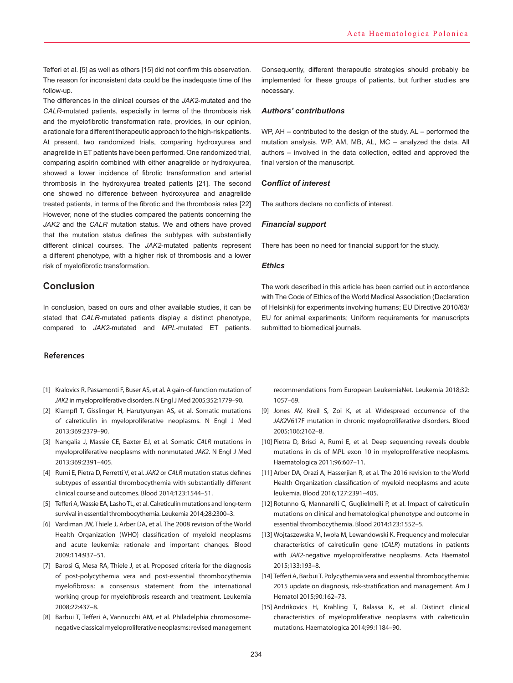Tefferi et al. [5] as well as others [15] did not confirm this observation. The reason for inconsistent data could be the inadequate time of the follow-up.

The differences in the clinical courses of the *JAK2*-mutated and the *CALR*-mutated patients, especially in terms of the thrombosis risk and the myelofibrotic transformation rate, provides, in our opinion, a rationale for a different therapeutic approach to the high-risk patients. At present, two randomized trials, comparing hydroxyurea and anagrelide in ET patients have been performed. One randomized trial, comparing aspirin combined with either anagrelide or hydroxyurea, showed a lower incidence of fibrotic transformation and arterial thrombosis in the hydroxyurea treated patients [21]. The second one showed no difference between hydroxyurea and anagrelide treated patients, in terms of the fibrotic and the thrombosis rates [22] However, none of the studies compared the patients concerning the *JAK2* and the *CALR* mutation status. We and others have proved that the mutation status defines the subtypes with substantially different clinical courses. The *JAK2*-mutated patients represent a different phenotype, with a higher risk of thrombosis and a lower risk of myelofibrotic transformation.

# **Conclusion**

In conclusion, based on ours and other available studies, it can be stated that *CALR*-mutated patients display a distinct phenotype, compared to *JAK2*-mutated and *MPL*-mutated ET patients.

# **References**

- [1] Kralovics R, Passamonti F, Buser AS, et al. A gain-of-function mutation of *JAK2* in myeloproliferative disorders. N Engl J Med 2005;352:1779–90.
- [2] Klampfl T, Gisslinger H, Harutyunyan AS, et al. Somatic mutations of calreticulin in myeloproliferative neoplasms. N Engl J Med 2013;369:2379–90.
- [3] Nangalia J, Massie CE, Baxter EJ, et al. Somatic *CALR* mutations in myeloproliferative neoplasms with nonmutated *JAK2*. N Engl J Med 2013;369:2391–405.
- [4] Rumi E, Pietra D, Ferretti V, et al. *JAK2* or *CALR* mutation status defines subtypes of essential thrombocythemia with substantially different clinical course and outcomes. Blood 2014;123:1544–51.
- [5] Tefferi A, Wassie EA, Lasho TL, et al. Calreticulin mutations and long-term survival in essential thrombocythemia. Leukemia 2014;28:2300–3.
- [6] Vardiman JW, Thiele J, Arber DA, et al. The 2008 revision of the World Health Organization (WHO) classification of myeloid neoplasms and acute leukemia: rationale and important changes. Blood 2009;114:937–51.
- [7] Barosi G, Mesa RA, Thiele J, et al. Proposed criteria for the diagnosis of post-polycythemia vera and post-essential thrombocythemia myelofibrosis: a consensus statement from the international working group for myelofibrosis research and treatment. Leukemia 2008;22:437–8.
- [8] Barbui T, Tefferi A, Vannucchi AM, et al. Philadelphia chromosomenegative classical myeloproliferative neoplasms: revised management

Consequently, different therapeutic strategies should probably be implemented for these groups of patients, but further studies are necessary.

#### *Authors' contributions*

WP, AH – contributed to the design of the study. AL – performed the mutation analysis. WP, AM, MB, AL, MC – analyzed the data. All authors – involved in the data collection, edited and approved the final version of the manuscript.

# **C***onflict of interest*

The authors declare no conflicts of interest.

#### *Financial support*

There has been no need for financial support for the study.

## *Ethics*

The work described in this article has been carried out in accordance with The Code of Ethics of the World Medical Association (Declaration of Helsinki) for experiments involving humans; EU Directive 2010/63/ EU for animal experiments; Uniform requirements for manuscripts submitted to biomedical journals.

recommendations from European LeukemiaNet. Leukemia 2018;32: 1057–69.

- [9] Jones AV, Kreil S, Zoi K, et al. Widespread occurrence of the *JAK2*V617F mutation in chronic myeloproliferative disorders. Blood 2005;106:2162–8.
- [10] Pietra D, Brisci A, Rumi E, et al. Deep sequencing reveals double mutations in cis of MPL exon 10 in myeloproliferative neoplasms. Haematologica 2011;96:607–11.
- [11] Arber DA, Orazi A, Hasserjian R, et al. The 2016 revision to the World Health Organization classification of myeloid neoplasms and acute leukemia. Blood 2016;127:2391–405.
- [12] Rotunno G, Mannarelli C, Guglielmelli P, et al. Impact of calreticulin mutations on clinical and hematological phenotype and outcome in essential thrombocythemia. Blood 2014;123:1552–5.
- [13] Wojtaszewska M, Iwoła M, Lewandowski K. Frequency and molecular characteristics of calreticulin gene (*CALR*) mutations in patients with *JAK2*-negative myeloproliferative neoplasms. Acta Haematol 2015;133:193–8.
- [14] Tefferi A, Barbui T. Polycythemia vera and essential thrombocythemia: 2015 update on diagnosis, risk-stratification and management. Am J Hematol 2015;90:162–73.
- [15] Andrikovics H, Krahling T, Balassa K, et al. Distinct clinical characteristics of myeloproliferative neoplasms with calreticulin mutations. Haematologica 2014;99:1184–90.